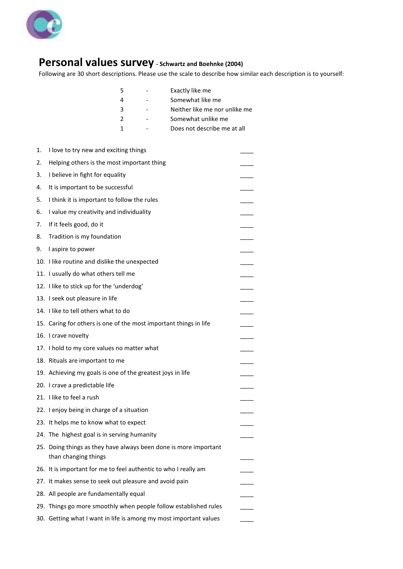

## **Personal values survey - Schwartz and Boehnke (2004)**

Following are 30 short descriptions. Please use the scale to describe how similar each description is to yourself:

|               | Exactly like me               |
|---------------|-------------------------------|
|               | Somewhat like me              |
| ર             | Neither like me nor unlike me |
| $\mathcal{L}$ | Somewhat unlike me            |
|               | Does not describe me at all   |
|               |                               |

| 1. | I love to try new and exciting things                                                    |  |
|----|------------------------------------------------------------------------------------------|--|
| 2. | Helping others is the most important thing                                               |  |
| 3. | I believe in fight for equality                                                          |  |
| 4. | It is important to be successful                                                         |  |
| 5. | I think it is important to follow the rules                                              |  |
| 6. | I value my creativity and individuality                                                  |  |
| 7. | If it feels good, do it                                                                  |  |
| 8. | Tradition is my foundation                                                               |  |
| 9. | I aspire to power                                                                        |  |
|    | 10. I like routine and dislike the unexpected                                            |  |
|    | 11. I usually do what others tell me                                                     |  |
|    | 12. I like to stick up for the 'underdog'                                                |  |
|    | 13. I seek out pleasure in life                                                          |  |
|    | 14. I like to tell others what to do                                                     |  |
|    | 15. Caring for others is one of the most important things in life                        |  |
|    | 16. I crave novelty                                                                      |  |
|    | 17. I hold to my core values no matter what                                              |  |
|    | 18. Rituals are important to me                                                          |  |
|    | 19. Achieving my goals is one of the greatest joys in life                               |  |
|    | 20. I crave a predictable life                                                           |  |
|    | 21. I like to feel a rush                                                                |  |
|    | 22. I enjoy being in charge of a situation                                               |  |
|    | 23. It helps me to know what to expect                                                   |  |
|    | 24. The highest goal is in serving humanity                                              |  |
|    | 25. Doing things as they have always been done is more important<br>than changing things |  |
|    | 26. It is important for me to feel authentic to who I really am                          |  |
|    | 27. It makes sense to seek out pleasure and avoid pain                                   |  |
|    | 28. All people are fundamentally equal                                                   |  |
|    | 29. Things go more smoothly when people follow established rules                         |  |
|    | 30. Getting what I want in life is among my most important values                        |  |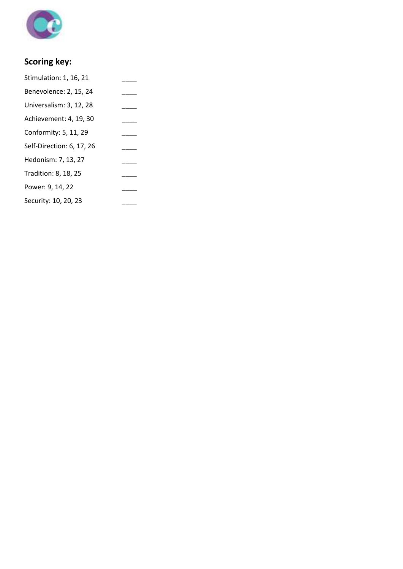

## **Scoring key:**

| Stimulation: 1, 16, 21    |  |
|---------------------------|--|
| Benevolence: 2, 15, 24    |  |
| Universalism: 3, 12, 28   |  |
| Achievement: 4, 19, 30    |  |
| Conformity: 5, 11, 29     |  |
| Self-Direction: 6, 17, 26 |  |
| Hedonism: 7, 13, 27       |  |
| Tradition: 8, 18, 25      |  |
| Power: 9, 14, 22          |  |
| Security: 10, 20, 23      |  |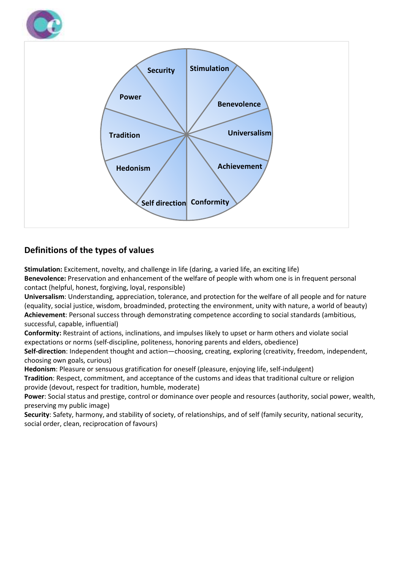



## **Definitions of the types of values**

**Stimulation:** Excitement, novelty, and challenge in life (daring, a varied life, an exciting life) **Benevolence:** Preservation and enhancement of the welfare of people with whom one is in frequent personal contact (helpful, honest, forgiving, loyal, responsible)

**Universalism**: Understanding, appreciation, tolerance, and protection for the welfare of all people and for nature (equality, social justice, wisdom, broadminded, protecting the environment, unity with nature, a world of beauty) **Achievement**: Personal success through demonstrating competence according to social standards (ambitious, successful, capable, influential)

**Conformity:** Restraint of actions, inclinations, and impulses likely to upset or harm others and violate social expectations or norms (self-discipline, politeness, honoring parents and elders, obedience)

**Self-direction**: Independent thought and action—choosing, creating, exploring (creativity, freedom, independent, choosing own goals, curious)

**Hedonism**: Pleasure or sensuous gratification for oneself (pleasure, enjoying life, self-indulgent)

**Tradition**: Respect, commitment, and acceptance of the customs and ideas that traditional culture or religion provide (devout, respect for tradition, humble, moderate)

**Power**: Social status and prestige, control or dominance over people and resources (authority, social power, wealth, preserving my public image)

**Security**: Safety, harmony, and stability of society, of relationships, and of self (family security, national security, social order, clean, reciprocation of favours)